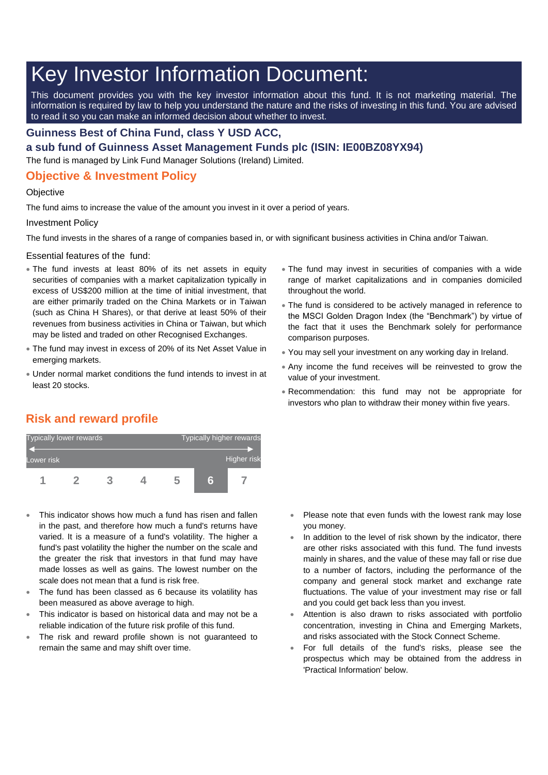# Key Investor Information Document:

This document provides you with the key investor information about this fund. It is not marketing material. The information is required by law to help you understand the nature and the risks of investing in this fund. You are advised to read it so you can make an informed decision about whether to invest.

#### **Guinness Best of China Fund, class Y USD ACC,**

**a sub fund of Guinness Asset Management Funds plc (ISIN: IE00BZ08YX94)**

The fund is managed by Link Fund Manager Solutions (Ireland) Limited.

### **Objective & Investment Policy**

#### **Objective**

The fund aims to increase the value of the amount you invest in it over a period of years.

#### Investment Policy

The fund invests in the shares of a range of companies based in, or with significant business activities in China and/or Taiwan.

Essential features of the fund:

- The fund invests at least 80% of its net assets in equity securities of companies with a market capitalization typically in excess of US\$200 million at the time of initial investment, that are either primarily traded on the China Markets or in Taiwan (such as China H Shares), or that derive at least 50% of their revenues from business activities in China or Taiwan, but which may be listed and traded on other Recognised Exchanges.
- The fund may invest in excess of 20% of its Net Asset Value in emerging markets.
- Under normal market conditions the fund intends to invest in at least 20 stocks.
- The fund may invest in securities of companies with a wide range of market capitalizations and in companies domiciled throughout the world.
- The fund is considered to be actively managed in reference to the MSCI Golden Dragon Index (the "Benchmark") by virtue of the fact that it uses the Benchmark solely for performance comparison purposes.
- You may sell your investment on any working day in Ireland.
- Any income the fund receives will be reinvested to grow the value of your investment.
- Recommendation: this fund may not be appropriate for investors who plan to withdraw their money within five years.

## **Risk and reward profile**



- This indicator shows how much a fund has risen and fallen in the past, and therefore how much a fund's returns have varied. It is a measure of a fund's volatility. The higher a fund's past volatility the higher the number on the scale and the greater the risk that investors in that fund may have made losses as well as gains. The lowest number on the scale does not mean that a fund is risk free.
- The fund has been classed as 6 because its volatility has been measured as above average to high.
- This indicator is based on historical data and may not be a reliable indication of the future risk profile of this fund.
- The risk and reward profile shown is not guaranteed to remain the same and may shift over time.
- Please note that even funds with the lowest rank may lose you money.
- In addition to the level of risk shown by the indicator, there are other risks associated with this fund. The fund invests mainly in shares, and the value of these may fall or rise due to a number of factors, including the performance of the company and general stock market and exchange rate fluctuations. The value of your investment may rise or fall and you could get back less than you invest.
- Attention is also drawn to risks associated with portfolio concentration, investing in China and Emerging Markets, and risks associated with the Stock Connect Scheme.
- For full details of the fund's risks, please see the prospectus which may be obtained from the address in 'Practical Information' below.